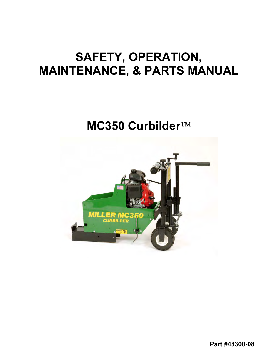# **SAFETY, OPERATION, MAINTENANCE, & PARTS MANUAL**

# **MC350 Curbilder**

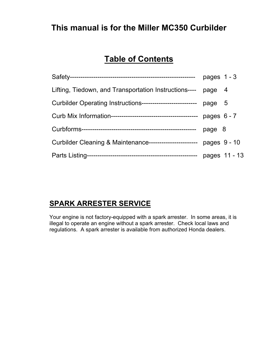### **This manual is for the Miller MC350 Curbilder**

### **Table of Contents**

|                                                           | pages $1 - 3$ |
|-----------------------------------------------------------|---------------|
| Lifting, Tiedown, and Transportation Instructions----     | page 4        |
| Curbilder Operating Instructions------------------------- | page 5        |
|                                                           | pages $6 - 7$ |
|                                                           | page 8        |
| Curbilder Cleaning & Maintenance-----------------------   | pages 9 - 10  |
|                                                           | pages 11 - 13 |

### **SPARK ARRESTER SERVICE**

Your engine is not factory-equipped with a spark arrester. In some areas, it is illegal to operate an engine without a spark arrester. Check local laws and regulations. A spark arrester is available from authorized Honda dealers.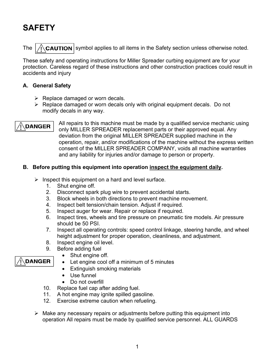## **SAFETY**

The  $\sqrt{\Omega}$  CAUTION symbol applies to all items in the Safety section unless otherwise noted.

These safety and operating instructions for Miller Spreader curbing equipment are for your protection. Careless regard of these instructions and other construction practices could result in accidents and injury

#### **A. General Safety**

- $\triangleright$  Replace damaged or worn decals.
- $\triangleright$  Replace damaged or worn decals only with original equipment decals. Do not modify decals in any way.

**DANGER** 

**DANGER** 

All repairs to this machine must be made by a qualified service mechanic using only MILLER SPREADER replacement parts or their approved equal. Any deviation from the original MILLER SPREADER supplied machine in the operation, repair, and/or modifications of the machine without the express written consent of the MILLER SPREADER COMPANY, voids all machine warranties and any liability for injuries and/or damage to person or property.

#### **B. Before putting this equipment into operation inspect the equipment daily.**

- $\triangleright$  Inspect this equipment on a hard and level surface.
	- 1. Shut engine off.
	- 2. Disconnect spark plug wire to prevent accidental starts.
	- 3. Block wheels in both directions to prevent machine movement.
	- 4. Inspect belt tension/chain tension. Adjust if required.
	- 5. Inspect auger for wear. Repair or replace if required.
	- 6. Inspect tires, wheels and tire pressure on pneumatic tire models. Air pressure should be 50 PSI.
	- 7. Inspect all operating controls: speed control linkage, steering handle, and wheel height adjustment for proper operation, cleanliness, and adjustment.
	- 8. Inspect engine oil level.
	- 9. Before adding fuel
		- Shut engine off.
		- Let engine cool off a minimum of 5 minutes
		- Extinguish smoking materials
		- Use funnel
		- Do not overfill
	- 10. Replace fuel cap after adding fuel.
	- 11. A hot engine may ignite spilled gasoline.
	- 12. Exercise extreme caution when refueling.
- $\triangleright$  Make any necessary repairs or adjustments before putting this equipment into operation All repairs must be made by qualified service personnel. ALL GUARDS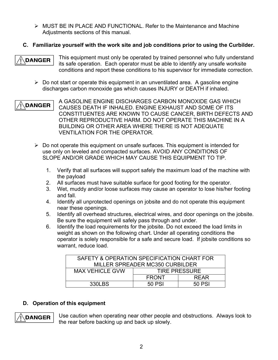- $\triangleright$  MUST BE IN PLACE AND FUNCTIONAL. Refer to the Maintenance and Machine Adjustments sections of this manual.
- **C. Familiarize yourself with the work site and job conditions prior to using the Curbilder.**

**DANGER** 

This equipment must only be operated by trained personnel who fully understand its safe operation. Each operator must be able to identify any unsafe worksite conditions and report these conditions to his supervisor for immediate correction.

 $\triangleright$  Do not start or operate this equipment in an unventilated area. A gasoline engine discharges carbon monoxide gas which causes INJURY or DEATH if inhaled.

A GASOLINE ENGINE DISCHARGES CARBON MONOXIDE GAS WHICH **DANGER** CAUSES DEATH IF INHALED. ENGINE EXHAUST AND SOME OF ITS CONSTITUENTES ARE KNOWN TO CAUSE CANCER, BIRTH DEFECTS AND OTHER REPRODUCTIVE HARM. DO NOT OPERATE THIS MACHINE IN A BUILDING OR OTHER AREA WHERE THERE IS NOT ADEQUATE VENTILATION FOR THE OPERATOR.

- $\triangleright$  Do not operate this equipment on unsafe surfaces. This equipment is intended for use only on leveled and compacted surfaces. AVOID ANY CONDITIONS OF SLOPE AND/OR GRADE WHICH MAY CAUSE THIS EQUIPMENT TO TIP.
	- 1. Verify that all surfaces will support safely the maximum load of the machine with the payload
	- 2. All surfaces must have suitable surface for good footing for the operator.
	- 3. Wet, muddy and/or loose surfaces may cause an operator to lose his/her footing and fall.
	- 4. Identify all unprotected openings on jobsite and do not operate this equipment near these openings.
	- 5. Identify all overhead structures, electrical wires, and door openings on the jobsite. Be sure the equipment will safely pass through and under.
	- 6. Identify the load requirements for the jobsite. Do not exceed the load limits in weight as shown on the following chart. Under all operating conditions the operator is solely responsible for a safe and secure load. If jobsite conditions so warrant, reduce load.

| SAFETY & OPERATION SPECIFICATION CHART FOR |                      |             |  |
|--------------------------------------------|----------------------|-------------|--|
| MILLER SPREADER MC350 CURBILDER            |                      |             |  |
| <b>MAX VEHICLE GVW</b>                     | <b>TIRE PRESSURE</b> |             |  |
|                                            | <b>FRONT</b>         | <b>RFAR</b> |  |
| 330LBS                                     | 50 PSI               | 50 PSI      |  |

#### **D. Operation of this equipment**



Use caution when operating near other people and obstructions. Always look to the rear before backing up and back up slowly.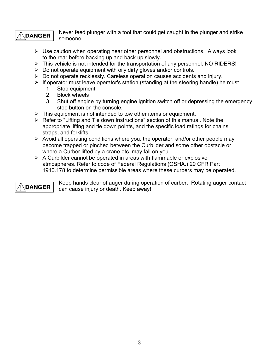### **DANGER**

Never feed plunger with a tool that could get caught in the plunger and strike someone.

- $\triangleright$  Use caution when operating near other personnel and obstructions. Always look to the rear before backing up and back up slowly.
- $\triangleright$  This vehicle is not intended for the transportation of any personnel. NO RIDERS!
- $\triangleright$  Do not operate equipment with oily dirty gloves and/or controls.
- $\triangleright$  Do not operate recklessly. Careless operation causes accidents and injury.
- $\triangleright$  If operator must leave operator's station (standing at the steering handle) he must
	- 1. Stop equipment
	- 2. Block wheels
	- 3. Shut off engine by turning engine ignition switch off or depressing the emergency stop button on the console.
- $\triangleright$  This equipment is not intended to tow other items or equipment.
- $\triangleright$  Refer to "Lifting and Tie down Instructions" section of this manual. Note the appropriate lifting and tie down points, and the specific load ratings for chains, straps, and forklifts.
- $\triangleright$  Avoid all operating conditions where you, the operator, and/or other people may become trapped or pinched between the Curbilder and some other obstacle or where a Curber lifted by a crane etc. may fall on you.
- $\triangleright$  A Curbilder cannot be operated in areas with flammable or explosive atmospheres. Refer to code of Federal Regulations (OSHA.) 29 CFR Part 1910.178 to determine permissible areas where these curbers may be operated.



Keep hands clear of auger during operation of curber. Rotating auger contact can cause injury or death. Keep away!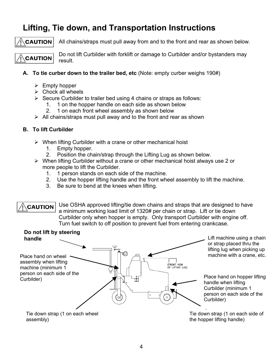### **Lifting, Tie down, and Transportation Instructions**

#### **CAUTION**

All chains/straps must pull away from and to the front and rear as shown below.

**CAUTION** 

Do not lift Curbilder with forklift or damage to Curbilder and/or bystanders may result.

#### **A. To tie curber down to the trailer bed, etc** (Note: empty curber weighs 190#)

- $\triangleright$  Empty hopper
- $\triangleright$  Chock all wheels
- $\triangleright$  Secure Curbilder to trailer bed using 4 chains or straps as follows:
	- 1. 1 on the hopper handle on each side as shown below
	- 2. 1 on each front wheel assembly as shown below
- $\triangleright$  All chains/straps must pull away and to the front and rear as shown

#### **B. To lift Curbilder**

- $\triangleright$  When lifting Curbilder with a crane or other mechanical hoist
	- 1. Empty hopper.
	- 2. Position the chain/strap through the Lifting Lug as shown below.
- $\triangleright$  When lifting Curbilder without a crane or other mechanical hoist always use 2 or more people to lift the Curbilder.
	- 1. 1 person stands on each side of the machine.
	- 2. Use the hopper lifting handle and the front wheel assembly to lift the machine.
	- 3. Be sure to bend at the knees when lifting.

Use OSHA approved lifting/tie down chains and straps that are designed to have **CAUTION** a minimum working load limit of 1320# per chain or strap. Lift or tie down Curbilder only when hopper is empty. Only transport Curbilder with engine off. Turn fuel switch to off position to prevent fuel from entering crankcase.

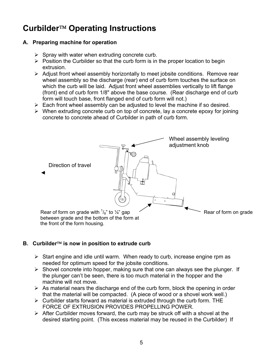### Curbilder<sup>™</sup> Operating Instructions

#### **A. Preparing machine for operation**

- $\triangleright$  Spray with water when extruding concrete curb.
- $\triangleright$  Position the Curbilder so that the curb form is in the proper location to begin extrusion.
- $\triangleright$  Adjust front wheel assembly horizontally to meet jobsite conditions. Remove rear wheel assembly so the discharge (rear) end of curb form touches the surface on which the curb will be laid. Adjust front wheel assemblies vertically to lift flange (front) end of curb form 1/8" above the base course. (Rear discharge end of curb form will touch base, front flanged end of curb form will not.)
- $\triangleright$  Each front wheel assembly can be adjusted to level the machine if so desired.
- $\triangleright$  When extruding concrete curb on top of concrete, lay a concrete epoxy for joining concrete to concrete ahead of Curbilder in path of curb form.



#### **B.** Curbilder<sup>™</sup> is now in position to extrude curb

- $\triangleright$  Start engine and idle until warm. When ready to curb, increase engine rpm as needed for optimum speed for the jobsite conditions.
- $\triangleright$  Shovel concrete into hopper, making sure that one can always see the plunger. If the plunger can't be seen, there is too much material in the hopper and the machine will not move.
- $\triangleright$  As material nears the discharge end of the curb form, block the opening in order that the material will be compacted. (A piece of wood or a shovel work well.)
- $\triangleright$  Curbilder starts forward as material is extruded through the curb form. THE FORCE OF EXTRUSION PROVIDES PROPELLING POWER.
- $\triangleright$  After Curbilder moves forward, the curb may be struck off with a shovel at the desired starting point. (This excess material may be reused in the Curbilder) If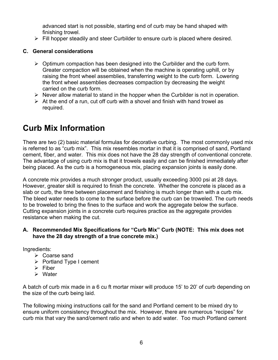advanced start is not possible, starting end of curb may be hand shaped with finishing trowel.

 $\triangleright$  Fill hopper steadily and steer Curbilder to ensure curb is placed where desired.

#### **C. General considerations**

- $\triangleright$  Optimum compaction has been designed into the Curbilder and the curb form. Greater compaction will be obtained when the machine is operating uphill, or by raising the front wheel assemblies, transferring weight to the curb form. Lowering the front wheel assemblies decreases compaction by decreasing the weight carried on the curb form.
- $\triangleright$  Never allow material to stand in the hopper when the Curbilder is not in operation.
- $\triangleright$  At the end of a run, cut off curb with a shovel and finish with hand trowel as required.

### **Curb Mix Information**

There are two (2) basic material formulas for decorative curbing. The most commonly used mix is referred to as "curb mix". This mix resembles mortar in that it is comprised of sand, Portland cement, fiber, and water. This mix does not have the 28 day strength of conventional concrete. The advantage of using curb mix is that it trowels easily and can be finished immediately after being placed. As the curb is a homogeneous mix, placing expansion joints is easily done.

A concrete mix provides a much stronger product, usually exceeding 3000 psi at 28 days. However, greater skill is required to finish the concrete. Whether the concrete is placed as a slab or curb, the time between placement and finishing is much longer than with a curb mix. The bleed water needs to come to the surface before the curb can be troweled. The curb needs to be troweled to bring the fines to the surface and work the aggregate below the surface. Cutting expansion joints in a concrete curb requires practice as the aggregate provides resistance when making the cut.

#### **A. Recommended Mix Specifications for "Curb Mix" Curb (NOTE: This mix does not have the 28 day strength of a true concrete mix.)**

Ingredients:

- $\triangleright$  Coarse sand
- $\triangleright$  Portland Type I cement
- $\triangleright$  Fiber
- ¾ Water

A batch of curb mix made in a 6 cu ft mortar mixer will produce 15' to 20' of curb depending on the size of the curb being laid.

The following mixing instructions call for the sand and Portland cement to be mixed dry to ensure uniform consistency throughout the mix. However, there are numerous "recipes" for curb mix that vary the sand/cement ratio and when to add water. Too much Portland cement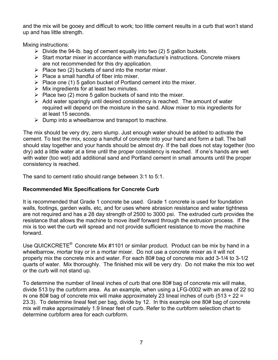and the mix will be gooey and difficult to work; too little cement results in a curb that won't stand up and has little strength.

Mixing instructions:

- $\triangleright$  Divide the 94-lb. bag of cement equally into two (2) 5 gallon buckets.
- $\triangleright$  Start mortar mixer in accordance with manufacture's instructions. Concrete mixers are not recommended for this dry application.
- $\triangleright$  Place two (2) buckets of sand into the mortar mixer.
- $\triangleright$  Place a small handful of fiber into mixer.
- $\triangleright$  Place one (1) 5 gallon bucket of Portland cement into the mixer.
- $\triangleright$  Mix ingredients for at least two minutes.
- $\triangleright$  Place two (2) more 5 gallon buckets of sand into the mixer.
- $\triangleright$  Add water sparingly until desired consistency is reached. The amount of water required will depend on the moisture in the sand. Allow mixer to mix ingredients for at least 15 seconds.
- $\triangleright$  Dump into a wheelbarrow and transport to machine.

The mix should be very dry, zero slump. Just enough water should be added to activate the cement. To test the mix, scoop a handful of concrete into your hand and form a ball. The ball should stay together and your hands should be almost dry. If the ball does not stay together (too dry) add a little water at a time until the proper consistency is reached. If one's hands are wet with water (too wet) add additional sand and Portland cement in small amounts until the proper consistency is reached.

The sand to cement ratio should range between 3:1 to 5:1.

#### **Recommended Mix Specifications for Concrete Curb**

It is recommended that Grade 1 concrete be used. Grade 1 concrete is used for foundation walls, footings, garden walls, etc, and for uses where abrasion resistance and water tightness are not required and has a 28 day strength of 2500 to 3000 psi. The extruded curb provides the resistance that allows the machine to move itself forward through the extrusion process. If the mix is too wet the curb will spread and not provide sufficient resistance to move the machine forward.

Use QUICKCRETE<sup>®</sup> Concrete Mix #1101 or similar product. Product can be mix by hand in a wheelbarrow, mortar tray or in a mortar mixer. Do not use a concrete mixer as it will not properly mix the concrete mix and water. For each 80# bag of concrete mix add 3-1/4 to 3-1/2 quarts of water. Mix thoroughly. The finished mix will be very dry. Do not make the mix too wet or the curb will not stand up.

To determine the number of lineal inches of curb that one 80# bag of concrete mix will make, divide 513 by the curbform area. As an example, when using a LFG-0002 with an area of 22 SQ IN one 80# bag of concrete mix will make approximately 23 lineal inches of curb (513  $\div$  22 = 23.3). To determine lineal feet per bag, divide by 12. In this example one 80# bag of concrete mix will make approximately 1.9 linear feet of curb. Refer to the curbform selection chart to determine curbform area for each curbform.